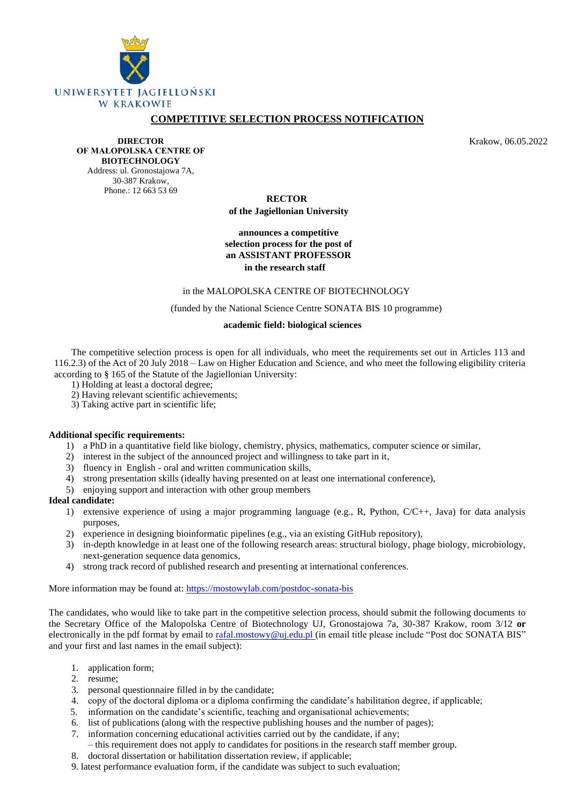

# **COMPETITIVE SELECTION PROCESS NOTIFICATION**

**DIRECTOR OF MAŁOPOLSKA CENTRE OF BIOTECHNOLOGY** Address: ul. Gronostajowa 7A,

30-387 Krakow, Phone.: 12 663 53 69 Krakow, 06.05.2022

 **RECTOR of the Jagiellonian University**

## **announces a competitive selection process for the post of an ASSISTANT PROFESSOR in the research staff**

### in the MALOPOLSKA CENTRE OF BIOTECHNOLOGY

(funded by the National Science Centre SONATA BIS 10 programme)

#### **academic field: biological sciences**

The competitive selection process is open for all individuals, who meet the requirements set out in Articles 113 and 116.2.3) of the Act of 20 July 2018 – Law on Higher Education and Science, and who meet the following eligibility criteria according to § 165 of the Statute of the Jagiellonian University:

- 1) Holding at least a doctoral degree;
- 2) Having relevant scientific achievements;
- 3) Taking active part in scientific life;

## **Additional specific requirements:**

- 1) a PhD in a quantitative field like biology, chemistry, physics, mathematics, computer science or similar,
- 2) interest in the subject of the announced project and willingness to take part in it,
- 3) fluency in English oral and written communication skills,
- 4) strong presentation skills (ideally having presented on at least one international conference),
- 5) enjoying support and interaction with other group members

## **Ideal candidate:**

- 1) extensive experience of using a major programming language (e.g., R, Python, C/C++, Java) for data analysis purposes,
- 2) experience in designing bioinformatic pipelines (e.g., via an existing GitHub repository),
- 3) in-depth knowledge in at least one of the following research areas: structural biology, phage biology, microbiology, next-generation sequence data genomics,
- 4) strong track record of published research and presenting at international conferences.

More information may be found at:<https://mostowylab.com/postdoc-sonata-bis>

The candidates, who would like to take part in the competitive selection process, should submit the following documents to the Secretary Office of the Malopolska Centre of Biotechnology UJ, Gronostajowa 7a, 30-387 Krakow, room 3/12 **or** electronically in the pdf format by email to [rafal.mostowy@uj.edu.pl](mailto:rafal.mostowy@uj.edu.pl) (in email title please include "Post doc SONATA BIS" and your first and last names in the email subject):

- 1. application form;
- 2. resume;
- 3. personal questionnaire filled in by the candidate;
- 4. copy of the doctoral diploma or a diploma confirming the candidate's habilitation degree, if applicable;
- 5. information on the candidate's scientific, teaching and organisational achievements;
- 6. list of publications (along with the respective publishing houses and the number of pages);
- 7. information concerning educational activities carried out by the candidate, if any; – this requirement does not apply to candidates for positions in the research staff member group.
- 8. doctoral dissertation or habilitation dissertation review, if applicable;
- 9. latest performance evaluation form, if the candidate was subject to such evaluation;